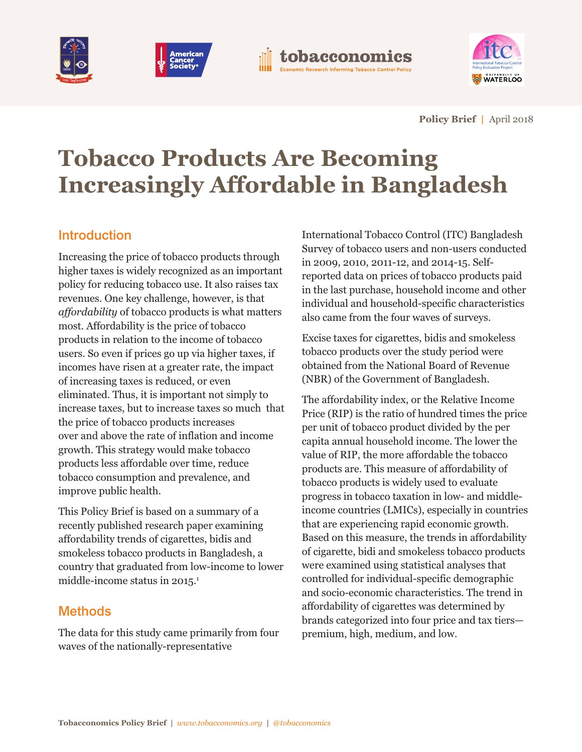







**Policy Brief |** April 2018

# **Tobacco Products Are Becoming Increasingly Affordable in Bangladesh**

# **Introduction**

Increasing the price of tobacco products through higher taxes is widely recognized as an important policy for reducing tobacco use. It also raises tax revenues. One key challenge, however, is that *affordability* of tobacco products is what matters most. Affordability is the price of tobacco products in relation to the income of tobacco users. So even if prices go up via higher taxes, if incomes have risen at a greater rate, the impact of increasing taxes is reduced, or even eliminated. Thus, it is important not simply to increase taxes, but to increase taxes so much that the price of tobacco products increases over and above the rate of inflation and income growth. This strategy would make tobacco products less affordable over time, reduce tobacco consumption and prevalence, and improve public health.

This Policy Brief is based on a summary of a recently published research paper examining affordability trends of cigarettes, bidis and smokeless tobacco products in Bangladesh, a country that graduated from low-income to lower middle-income status in 2015. 1

# **Methods**

The data for this study came primarily from four waves of the nationally-representative

International Tobacco Control (ITC) Bangladesh Survey of tobacco users and non-users conducted in 2009, 2010, 2011-12, and 2014-15. Selfreported data on prices of tobacco products paid in the last purchase, household income and other individual and household-specific characteristics also came from the four waves of surveys.

Excise taxes for cigarettes, bidis and smokeless tobacco products over the study period were obtained from the National Board of Revenue (NBR) of the Government of Bangladesh.

The affordability index, or the Relative Income Price (RIP) is the ratio of hundred times the price per unit of tobacco product divided by the per capita annual household income. The lower the value of RIP, the more affordable the tobacco products are. This measure of affordability of tobacco products is widely used to evaluate progress in tobacco taxation in low- and middleincome countries (LMICs), especially in countries that are experiencing rapid economic growth. Based on this measure, the trends in affordability of cigarette, bidi and smokeless tobacco products were examined using statistical analyses that controlled for individual-specific demographic and socio-economic characteristics. The trend in affordability of cigarettes was determined by brands categorized into four price and tax tiers premium, high, medium, and low.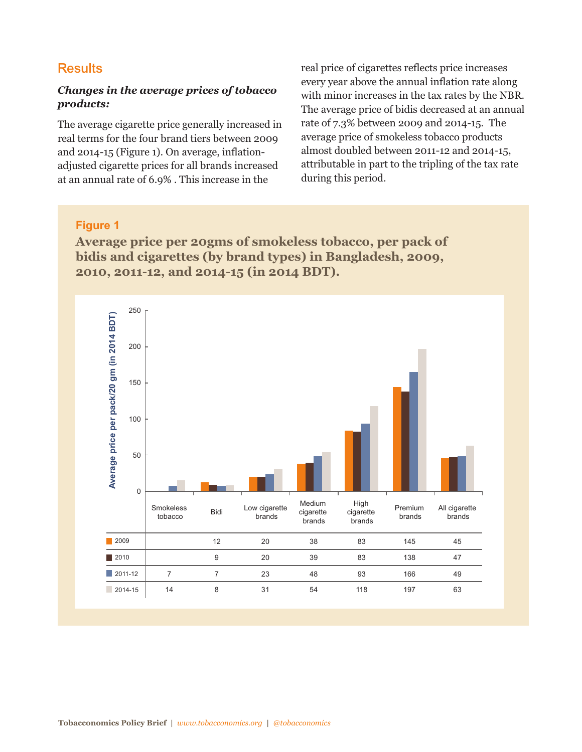## **Results**

#### *Changes in the average prices of tobacco products:*

The average cigarette price generally increased in real terms for the four brand tiers between 2009 and 2014-15 (Figure 1). On average, inflationadjusted cigarette prices for all brands increased at an annual rate of 6.9% . This increase in the

real price of cigarettes reflects price increases every year above the annual inflation rate along with minor increases in the tax rates by the NBR. The average price of bidis decreased at an annual rate of 7.3% between 2009 and 2014-15. The average price of smokeless tobacco products almost doubled between 2011-12 and 2014-15, attributable in part to the tripling of the tax rate during this period.

#### **Figure 1**

**Average price per 20gms of smokeless tobacco, per pack of bidis and cigarettes (by brand types) in Bangladesh, 2009, 2010, 2011-12, and 2014-15 (in 2014 BDT).**

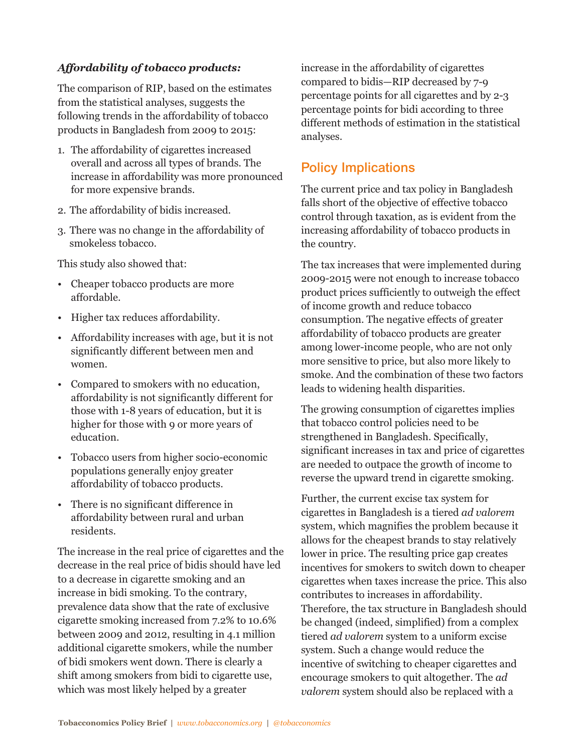#### *Affordability of tobacco products:*

The comparison of RIP, based on the estimates from the statistical analyses, suggests the following trends in the affordability of tobacco products in Bangladesh from 2009 to 2015:

- 1. The affordability of cigarettes increased overall and across all types of brands. The increase in affordability was more pronounced for more expensive brands.
- 2. The affordability of bidis increased.
- 3. There was no change in the affordability of smokeless tobacco.

This study also showed that:

- Cheaper tobacco products are more affordable.
- Higher tax reduces affordability.
- Affordability increases with age, but it is not significantly different between men and women.
- Compared to smokers with no education, affordability is not significantly different for those with 1-8 years of education, but it is higher for those with 9 or more years of education.
- Tobacco users from higher socio-economic populations generally enjoy greater affordability of tobacco products.
- There is no significant difference in affordability between rural and urban residents.

The increase in the real price of cigarettes and the decrease in the real price of bidis should have led to a decrease in cigarette smoking and an increase in bidi smoking. To the contrary, prevalence data show that the rate of exclusive cigarette smoking increased from 7.2% to 10.6% between 2009 and 2012, resulting in 4.1 million additional cigarette smokers, while the number of bidi smokers went down. There is clearly a shift among smokers from bidi to cigarette use, which was most likely helped by a greater

increase in the affordability of cigarettes compared to bidis—RIP decreased by 7-9 percentage points for all cigarettes and by 2-3 percentage points for bidi according to three different methods of estimation in the statistical analyses.

## **Policy Implications**

The current price and tax policy in Bangladesh falls short of the objective of effective tobacco control through taxation, as is evident from the increasing affordability of tobacco products in the country.

The tax increases that were implemented during 2009-2015 were not enough to increase tobacco product prices sufficiently to outweigh the effect of income growth and reduce tobacco consumption. The negative effects of greater affordability of tobacco products are greater among lower-income people, who are not only more sensitive to price, but also more likely to smoke. And the combination of these two factors leads to widening health disparities.

The growing consumption of cigarettes implies that tobacco control policies need to be strengthened in Bangladesh. Specifically, significant increases in tax and price of cigarettes are needed to outpace the growth of income to reverse the upward trend in cigarette smoking.

Further, the current excise tax system for cigarettes in Bangladesh is a tiered *ad valorem* system, which magnifies the problem because it allows for the cheapest brands to stay relatively lower in price. The resulting price gap creates incentives for smokers to switch down to cheaper cigarettes when taxes increase the price. This also contributes to increases in affordability. Therefore, the tax structure in Bangladesh should be changed (indeed, simplified) from a complex tiered *ad valorem* system to a uniform excise system. Such a change would reduce the incentive of switching to cheaper cigarettes and encourage smokers to quit altogether. The *ad valorem* system should also be replaced with a